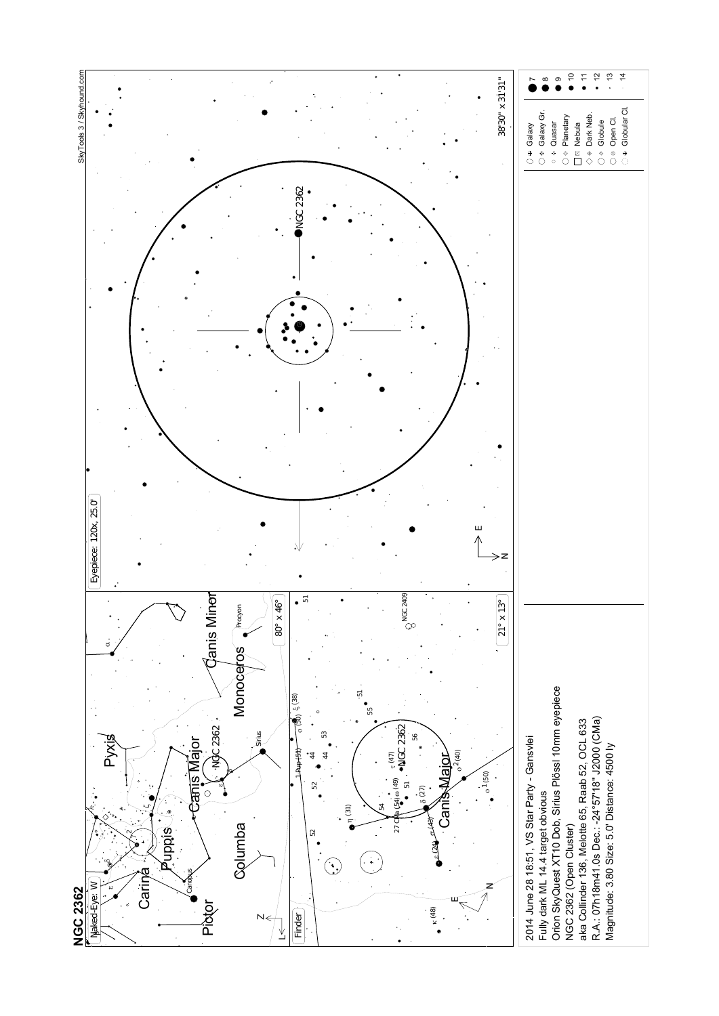